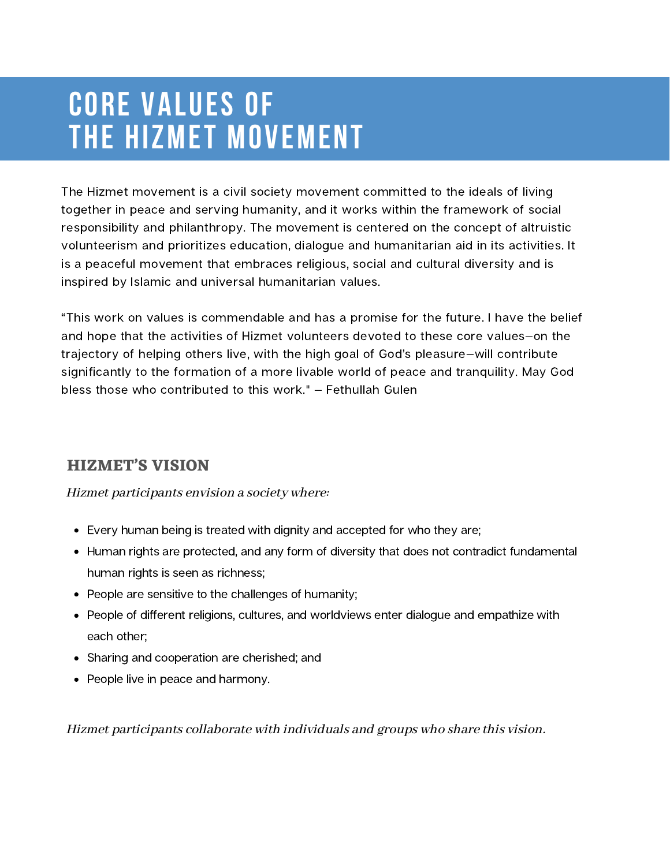### **CORE VALUES of the HIZMET MOVEMENT**

The Hizmet movement is a civil society movement committed to the ideals of living together in peace and serving humanity, and it works within the framework of social responsibility and philanthropy. The movement is centered on the concept of altruistic volunteerism and prioritizes education, dialogue and humanitarian aid in its activities. It is a peaceful movement that embraces religious, social and cultural diversity and is inspired by Islamic and universal humanitarian values.

"This work on values is commendable and has a promise for the future. I have the belief and hope that the activities of Hizmet volunteers devoted to these core values—on the trajectory of helping others live, with the high goal of God's pleasure—will contribute significantly to the formation of a more livable world of peace and tranquility. May God bless those who contributed to this work." — Fethullah Gulen

#### **HIZMET'S VISION**

#### Hizmet participants envision a society where:

- Every human being is treated with dignity and accepted for who they are;
- Human rights are protected, and any form of diversity that does not contradict fundamental human rights is seen as richness;
- People are sensitive to the challenges of humanity;
- People of different religions, cultures, and worldviews enter dialogue and empathize with each other;
- Sharing and cooperation are cherished; and
- People live in peace and harmony.

Hizmet participants collaborate with individuals and groups who share this vision.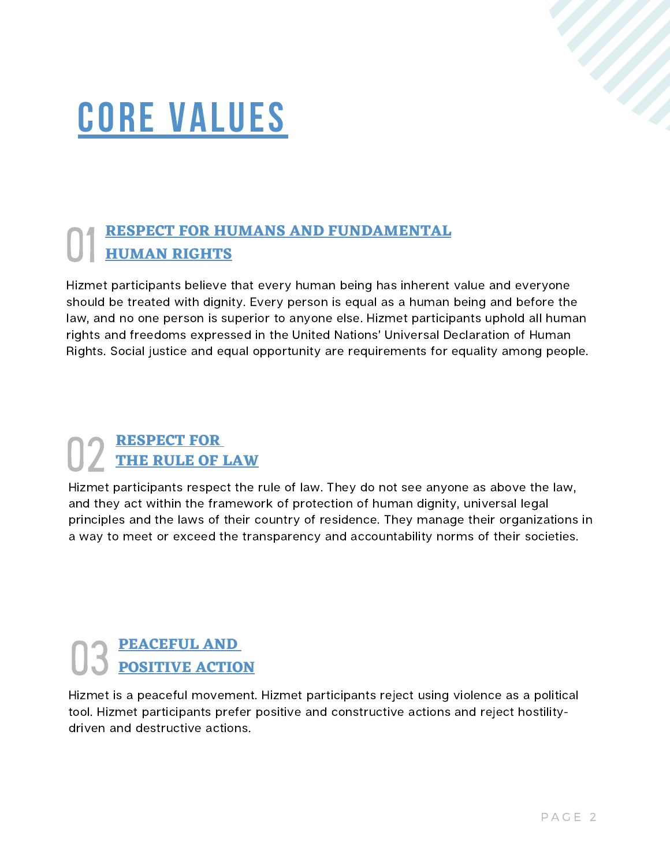# **core VALUES**

# **RESPECT FOR HUMANS AND FUNDAMENTAL** 01 **HUMAN RIGHTS**

Hizmet participants believe that every human being has inherent value and everyone should be treated with dignity. Every person is equal as a human being and before the law, and no one person is superior to anyone else. Hizmet participants uphold all human rights and freedoms expressed in the United Nations' Universal Declaration of Human Rights. Social justice and equal opportunity are requirements for equality among people.

#### **RESPECT FOR** 02 **THE RULE OF LAW**

Hizmet participants respect the rule of law. They do not see anyone as above the law, and they act within the framework of protection of human dignity, universal legal principles and the laws of their country of residence. They manage their organizations in a way to meet or exceed the transparency and accountability norms of their societies.

#### **PEACEFUL AND** 03 **POSITIVE ACTION**

Hizmet is a peaceful movement. Hizmet participants reject using violence as a political tool. Hizmet participants prefer positive and constructive actions and reject hostilitydriven and destructive actions.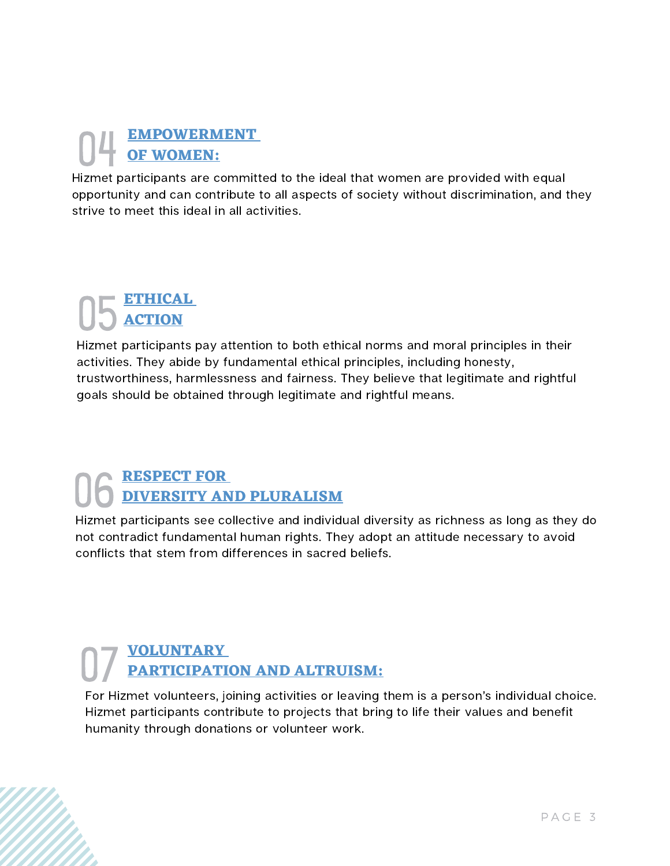# **EMPOWERMENT** 04 **OF WOMEN:**

Hizmet participants are committed to the ideal that women are provided with equal opportunity and can contribute to all aspects of society without discrimination, and they strive to meet this ideal in all activities.

## **ETHICAL** 05 **ACTION**

Hizmet participants pay attention to both ethical norms and moral principles in their activities. They abide by fundamental ethical principles, including honesty, trustworthiness, harmlessness and fairness. They believe that legitimate and rightful goals should be obtained through legitimate and rightful means.

## **RESPECT FOR** 06 **DIVERSITY AND PLURALISM**

Hizmet participants see collective and individual diversity as richness as long as they do not contradict fundamental human rights. They adopt an attitude necessary to avoid conflicts that stem from differences in sacred beliefs.

#### **VOLUNTARY** 07 **PARTICIPATION AND ALTRUISM:**

For Hizmet volunteers, joining activities or leaving them is a person's individual choice. Hizmet participants contribute to projects that bring to life their values and benefit humanity through donations or volunteer work.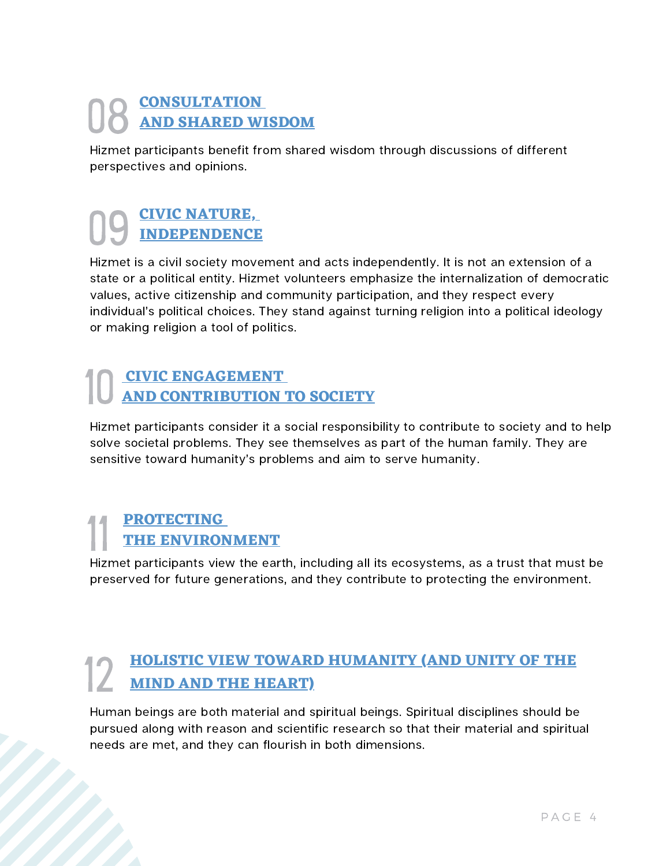#### **CONSULTATION** 08 **AND SHARED WISDOM**

Hizmet participants benefit from shared wisdom through discussions of different perspectives and opinions.

# **CIVIC NATURE,** 09 **INDEPENDENCE**

Hizmet is a civil society movement and acts independently. It is not an extension of a state or a political entity. Hizmet volunteers emphasize the internalization of democratic values, active citizenship and community participation, and they respect every individual's political choices. They stand against turning religion into a political ideology or making religion a tool of politics.

#### **CIVIC ENGAGEMENT** 10 **AND CONTRIBUTION TO SOCIETY**

Hizmet participants consider it a social responsibility to contribute to society and to help solve societal problems. They see themselves as part of the human family. They are sensitive toward humanity's problems and aim to serve humanity.

#### **PROTECTING THE ENVIRONMENT**

Hizmet participants view the earth, including all its ecosystems, as a trust that must be preserved for future generations, and they contribute to protecting the environment.

# **HOLISTIC VIEW TOWARD HUMANITY (AND UNITY OF THE** 12 **MIND AND THE HEART)**

Human beings are both material and spiritual beings. Spiritual disciplines should be pursued along with reason and scientific research so that their material and spiritual needs are met, and they can flourish in both dimensions.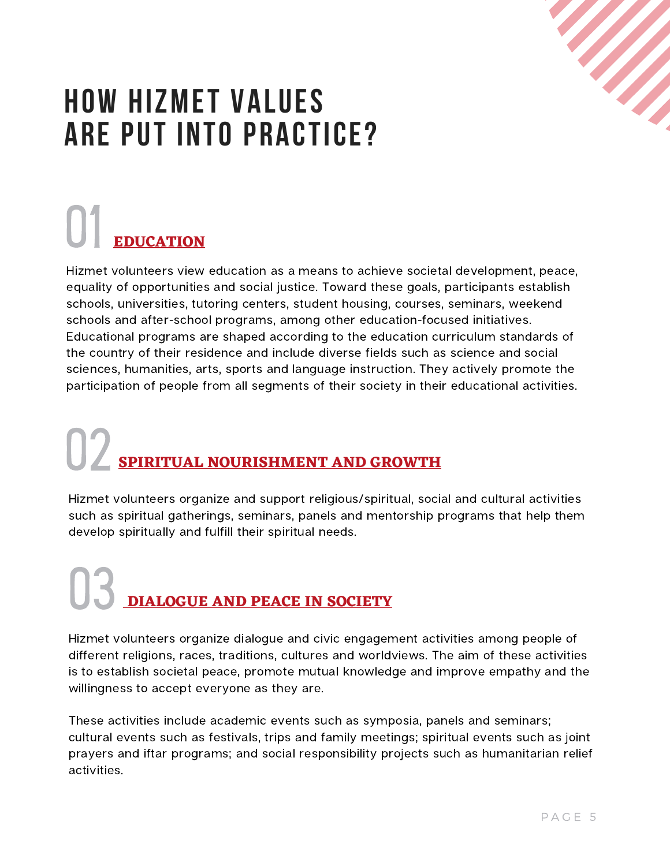

### **HOW HIZMET VALUES ARE PUT INTO PRACTICE?**

### **EDUCATION** 01

Hizmet volunteers view education as a means to achieve societal development, peace, equality of opportunities and social justice. Toward these goals, participants establish schools, universities, tutoring centers, student housing, courses, seminars, weekend schools and after-school programs, among other education-focused initiatives. Educational programs are shaped according to the education curriculum standards of the country of their residence and include diverse fields such as science and social sciences, humanities, arts, sports and language instruction. They actively promote the participation of people from all segments of their society in their educational activities.

# **SPIRITUAL NOURISHMENT AND GROWTH** 02

Hizmet volunteers organize and support religious/spiritual, social and cultural activities such as spiritual gatherings, seminars, panels and mentorship programs that help them develop spiritually and fulfill their spiritual needs.

### **DIALOGUE AND PEACE IN SOCIETY** 03

Hizmet volunteers organize dialogue and civic engagement activities among people of different religions, races, traditions, cultures and worldviews. The aim of these activities is to establish societal peace, promote mutual knowledge and improve empathy and the willingness to accept everyone as they are.

These activities include academic events such as symposia, panels and seminars; cultural events such as festivals, trips and family meetings; spiritual events such as joint prayers and iftar programs; and social responsibility projects such as humanitarian relief activities.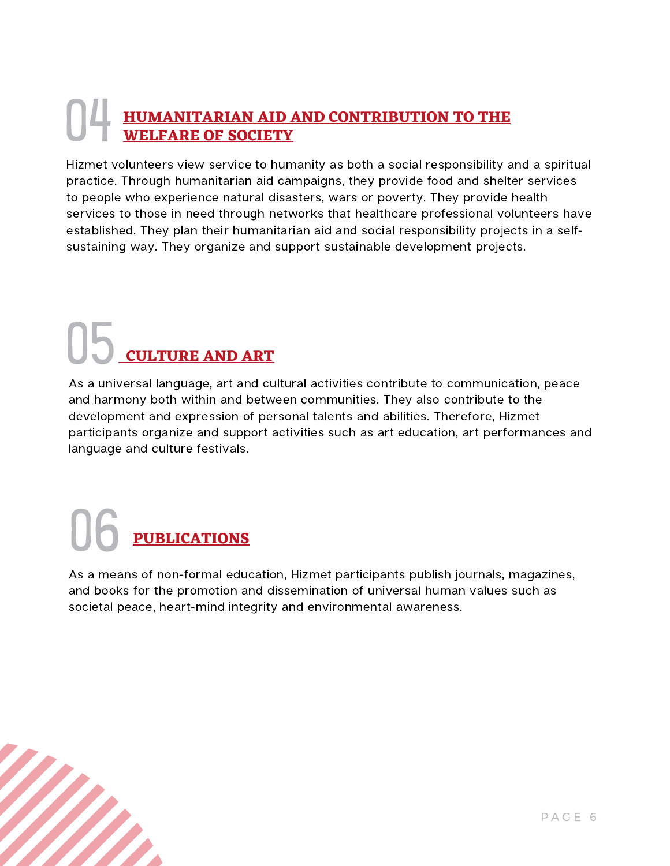### **HUMANITARIAN AID AND CONTRIBUTION TO THE WELFARE OF SOCIETY** 04

Hizmet volunteers view service to humanity as both a social responsibility and a spiritual practice. Through humanitarian aid campaigns, they provide food and shelter services to people who experience natural disasters, wars or poverty. They provide health services to those in need through networks that healthcare professional volunteers have established. They plan their humanitarian aid and social responsibility projects in a selfsustaining way. They organize and support sustainable development projects.

### **CULTURE AND ART** 05

As a universal language, art and cultural activities contribute to communication, peace and harmony both within and between communities. They also contribute to the development and expression of personal talents and abilities. Therefore, Hizmet participants organize and support activities such as art education, art performances and language and culture festivals.

### **PUBLICATIONS** 06

As a means of non-formal education, Hizmet participants publish journals, magazines, and books for the promotion and dissemination of universal human values such as societal peace, heart-mind integrity and environmental awareness.

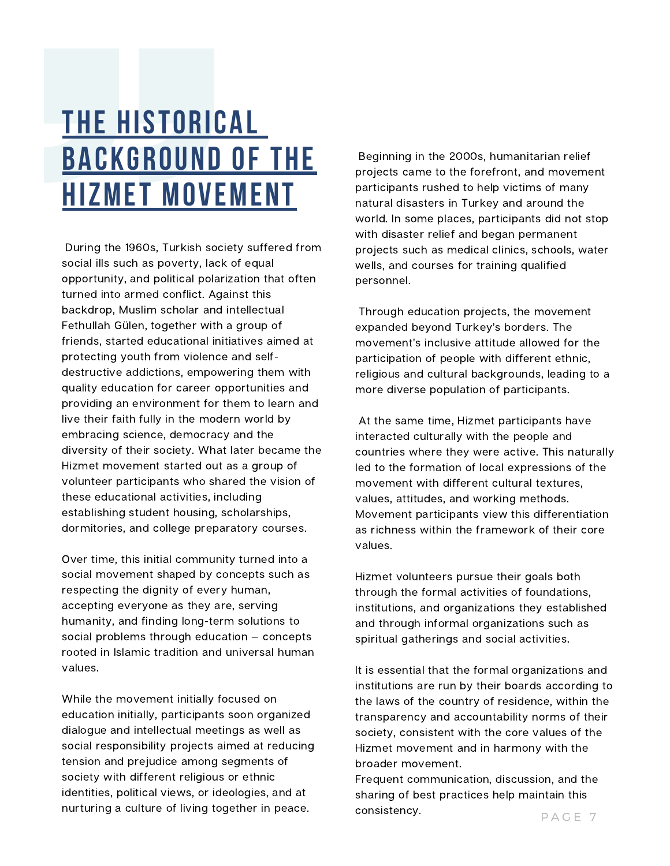### **THE HISTORICAL BACKGROUND OF THE HIZMET MOVEMENT**

During the 1960s, Turkish society suffered from social ills such as poverty, lack of equal opportunity, and political polarization that often turned into armed conflict. Against this backdrop, Muslim scholar and intellectual Fethullah Gülen, together with a group of friends, started educational initiatives aimed at protecting youth from violence and selfdestructive addictions, empowering them with quality education for career opportunities and providing an environment for them to learn and live their faith fully in the modern world by embracing science, democracy and the diversity of their society. What later became the Hizmet movement started out as a group of volunteer participants who shared the vision of these educational activities, including establishing student housing, scholarships, dormitories, and college preparatory courses.

Over time, this initial community turned into a social movement shaped by concepts such as respecting the dignity of every human, accepting everyone as they are, serving humanity, and finding long-term solutions to social problems through education — concepts rooted in Islamic tradition and universal human values.

While the movement initially focused on education initially, participants soon organized dialogue and intellectual meetings as well as social responsibility projects aimed at reducing tension and prejudice among segments of society with different religious or ethnic identities, political views, or ideologies, and at nurturing a culture of living together in peace.

Beginning in the 2000s, humanitarian relief projects came to the forefront, and movement participants rushed to help victims of many natural disasters in Turkey and around the world. In some places, participants did not stop with disaster relief and began permanent projects such as medical clinics, schools, water wells, and courses for training qualified personnel.

Through education projects, the movement expanded beyond Turkey's borders. The movement's inclusive attitude allowed for the participation of people with different ethnic, religious and cultural backgrounds, leading to a more diverse population of participants.

At the same time, Hizmet participants have interacted culturally with the people and countries where they were active. This naturally led to the formation of local expressions of the movement with different cultural textures, values, attitudes, and working methods. Movement participants view this differentiation as richness within the framework of their core values.

Hizmet volunteers pursue their goals both through the formal activities of foundations, institutions, and organizations they established and through informal organizations such as spiritual gatherings and social activities.

It is essential that the formal organizations and institutions are run by their boards according to the laws of the country of residence, within the transparency and accountability norms of their society, consistent with the core values of the Hizmet movement and in harmony with the broader movement.

Frequent communication, discussion, and the sharing of best practices help maintain this consistency.